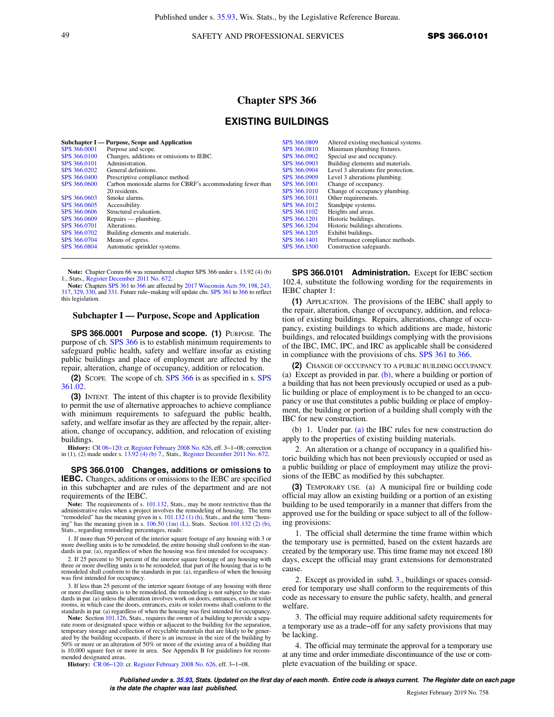## 49 SAFETY AND PROFESSIONAL SERVICES **SPS 366.0101**

## **Chapter SPS 366**

## **EXISTING BUILDINGS**

| SPS 366,0001 | Subchapter I — Purpose, Scope and Application<br>Purpose and scope. | SPS 366,0809<br>SPS 366,0810 | Altered existing mechanical systems.<br>Minimum plumbing fixtures. |
|--------------|---------------------------------------------------------------------|------------------------------|--------------------------------------------------------------------|
| SPS 366,0100 | Changes, additions or omissions to IEBC.                            | SPS 366,0902                 | Special use and occupancy.                                         |
| SPS 366,0101 | Administration.                                                     | SPS 366,0903                 | Building elements and materials.                                   |
| SPS 366,0202 | General definitions.                                                | SPS 366,0904                 | Level 3 alterations fire protection.                               |
| SPS 366,0400 | Prescriptive compliance method.                                     | SPS 366,0909                 | Level 3 alterations plumbing.                                      |
| SPS 366,0600 | Carbon monoxide alarms for CBRF's accommodating fewer than          | SPS 366,1001                 | Change of occupancy.                                               |
|              | 20 residents.                                                       | SPS 366,1010                 | Change of occupancy plumbing.                                      |
| SPS 366,0603 | Smoke alarms.                                                       | SPS 366,1011                 | Other requirements.                                                |
| SPS 366,0605 | Accessibility.                                                      | SPS 366.1012                 | Standpipe systems.                                                 |
| SPS 366,0606 | Structural evaluation.                                              | SPS 366.1102                 | Heights and areas.                                                 |
| SPS 366,0609 | $Repairs$ — plumbing.                                               | SPS 366.1201                 | Historic buildings.                                                |
| SPS 366,0701 | Alterations.                                                        | SPS 366.1204                 | Historic buildings alterations.                                    |
| SPS 366,0702 | Building elements and materials.                                    | SPS 366,1205                 | Exhibit buildings.                                                 |
| SPS 366,0704 | Means of egress.                                                    | SPS 366,1401                 | Performance compliance methods.                                    |
| SPS 366,0804 | Automatic sprinkler systems.                                        | SPS 366.1500                 | Construction safeguards.                                           |
|              |                                                                     |                              |                                                                    |

**Note:** Chapter Comm 66 was renumbered chapter SPS 366 under s. 13.92 (4) (b) 1., Stats., [Register December 2011 No. 672](https://docs-preview.legis.wisconsin.gov/document/register/672/B/toc).

**Note:** Chapters [SPS 361](https://docs-preview.legis.wisconsin.gov/document/administrativecode/ch.%20SPS%20361) to [366](https://docs-preview.legis.wisconsin.gov/document/administrativecode/ch.%20SPS%20366) are affected by [2017 Wisconsin Acts 59](https://docs-preview.legis.wisconsin.gov/document/acts/2017/59), [198,](https://docs-preview.legis.wisconsin.gov/document/acts/2017/198) [243](https://docs-preview.legis.wisconsin.gov/document/acts/2017/243), [317](https://docs-preview.legis.wisconsin.gov/document/acts/2017/317), [329,](https://docs-preview.legis.wisconsin.gov/document/acts/2017/329) [330](https://docs-preview.legis.wisconsin.gov/document/acts/2017/330), and [331.](https://docs-preview.legis.wisconsin.gov/document/acts/2017/331) Future rule−making will update chs. [SPS 361](https://docs-preview.legis.wisconsin.gov/document/administrativecode/ch.%20SPS%20361) to [366](https://docs-preview.legis.wisconsin.gov/document/administrativecode/ch.%20SPS%20366) to reflect this legislation.

## **Subchapter I — Purpose, Scope and Application**

**SPS 366.0001 Purpose and scope. (1)** PURPOSE. The purpose of ch. [SPS 366](https://docs-preview.legis.wisconsin.gov/document/administrativecode/ch.%20SPS%20366) is to establish minimum requirements to safeguard public health, safety and welfare insofar as existing public buildings and place of employment are affected by the repair, alteration, change of occupancy, addition or relocation.

**(2)** SCOPE. The scope of ch. [SPS 366](https://docs-preview.legis.wisconsin.gov/document/administrativecode/ch.%20SPS%20366) is as specified in s. [SPS](https://docs-preview.legis.wisconsin.gov/document/administrativecode/SPS%20361.02) [361.02.](https://docs-preview.legis.wisconsin.gov/document/administrativecode/SPS%20361.02)

**(3)** INTENT. The intent of this chapter is to provide flexibility to permit the use of alternative approaches to achieve compliance with minimum requirements to safeguard the public health, safety, and welfare insofar as they are affected by the repair, alteration, change of occupancy, addition, and relocation of existing buildings.

**History:** [CR 06−120:](https://docs-preview.legis.wisconsin.gov/document/cr/2006/120) cr. [Register February 2008 No. 626,](https://docs-preview.legis.wisconsin.gov/document/register/626/B/toc) eff. 3−1−08; correction in (1), (2) made under s. [13.92 \(4\) \(b\) 7.](https://docs-preview.legis.wisconsin.gov/document/statutes/13.92(4)(b)7.), Stats., [Register December 2011 No. 672](https://docs-preview.legis.wisconsin.gov/document/register/672/B/toc).

**SPS 366.0100 Changes, additions or omissions to IEBC.** Changes, additions or omissions to the IEBC are specified in this subchapter and are rules of the department and are not requirements of the IEBC.

**Note:** The requirements of s. [101.132,](https://docs-preview.legis.wisconsin.gov/document/statutes/101.132) Stats., may be more restrictive than the administrative rules when a project involves the remodeling of housing. The term "remodeled" has the meaning given in s. [101.132 \(1\) \(h\),](https://docs-preview.legis.wisconsin.gov/document/statutes/101.132(1)(h)) Stats., and the term "hous-<br>ing" has the meaning given in s. [106.50 \(1m\) \(L\)](https://docs-preview.legis.wisconsin.gov/document/statutes/106.50(1m)(L)), Stats. Section [101.132 \(2\) \(b\)](https://docs-preview.legis.wisconsin.gov/document/statutes/101.132(2)(b)),<br>Stats., regarding remodeling percentages, reads:

1. If more than 50 percent of the interior square footage of any housing with 3 or more dwelling units is to be remodeled, the entire housing shall conform to the standards in par. (a), regardless of when the housing was first intended for occupancy.

2. If 25 percent to 50 percent of the interior square footage of any housing with three or more dwelling units is to be remodeled, that part of the housing that is to be remodeled shall conform to the standards in par. (a), regardless of when the housing was first intended for occupancy.

3. If less than 25 percent of the interior square footage of any housing with three or more dwelling units is to be remodeled, the remodeling is not subject to the standards in par. (a) unless the alteration involves work on doors, entrances, exits or toilet rooms, in which case the doors, entrances, exits or toilet rooms shall conform to the standards in par. (a) regardless of when the housing was first intended for occupancy.

**Note:** Section [101.126](https://docs-preview.legis.wisconsin.gov/document/statutes/101.126), Stats., requires the owner of a building to provide a separate room or designated space within or adjacent to the building for the separation, temporary storage and collection of recyclable materials that are likely to be generated by the building occupants, if there is an increase in the size of the building by 50% or more or an alteration of 50% or more of the existing area of a building that is 10,000 square feet or more in area. See Appendix B for guidelines for recommended designated areas.

**SPS 366.0101 Administration.** Except for IEBC section 102.4, substitute the following wording for the requirements in IEBC chapter 1:

**(1)** APPLICATION. The provisions of the IEBC shall apply to the repair, alteration, change of occupancy, addition, and relocation of existing buildings. Repairs, alterations, change of occupancy, existing buildings to which additions are made, historic buildings, and relocated buildings complying with the provisions of the IBC, IMC, IPC, and IRC as applicable shall be considered in compliance with the provisions of chs. [SPS 361](https://docs-preview.legis.wisconsin.gov/document/administrativecode/ch.%20SPS%20361) to [366](https://docs-preview.legis.wisconsin.gov/document/administrativecode/ch.%20SPS%20366).

**(2)** CHANGE OF OCCUPANCY TO A PUBLIC BUILDING OCCUPANCY. (a) Except as provided in par.  $(b)$ , where a building or portion of a building that has not been previously occupied or used as a public building or place of employment is to be changed to an occupancy or use that constitutes a public building or place of employment, the building or portion of a building shall comply with the IBC for new construction.

(b) 1. Under par. [\(a\)](https://docs-preview.legis.wisconsin.gov/document/administrativecode/SPS%20366.0101(2)(a)) the IBC rules for new construction do apply to the properties of existing building materials.

2. An alteration or a change of occupancy in a qualified historic building which has not been previously occupied or used as a public building or place of employment may utilize the provisions of the IEBC as modified by this subchapter.

**(3)** TEMPORARY USE. (a) A municipal fire or building code official may allow an existing building or a portion of an existing building to be used temporarily in a manner that differs from the approved use for the building or space subject to all of the following provisions:

1. The official shall determine the time frame within which the temporary use is permitted, based on the extent hazards are created by the temporary use. This time frame may not exceed 180 days, except the official may grant extensions for demonstrated cause.

2. Except as provided in subd. [3.](https://docs-preview.legis.wisconsin.gov/document/administrativecode/SPS%20366.0101(3)(a)3.), buildings or spaces considered for temporary use shall conform to the requirements of this code as necessary to ensure the public safety, health, and general welfare.

3. The official may require additional safety requirements for a temporary use as a trade−off for any safety provisions that may be lacking.

4. The official may terminate the approval for a temporary use at any time and order immediate discontinuance of the use or complete evacuation of the building or space.

**History:** [CR 06−120](https://docs-preview.legis.wisconsin.gov/document/cr/2006/120): cr. [Register February 2008 No. 626](https://docs-preview.legis.wisconsin.gov/document/register/626/B/toc), eff. 3−1−08.

**Published under s. [35.93](https://docs-preview.legis.wisconsin.gov/document/statutes/35.93), Stats. Updated on the first day of each month. Entire code is always current. The Register date on each page is the date the chapter was last published. is the date the chapter was last published.** Register February 2019 No. 758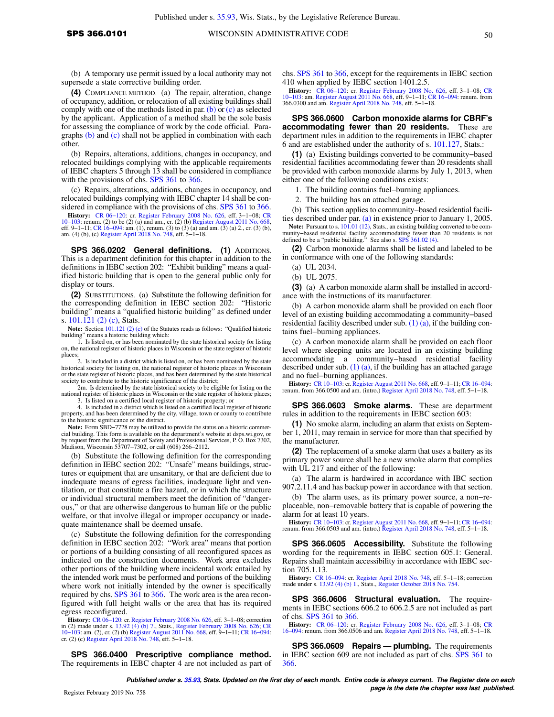(b) A temporary use permit issued by a local authority may not supersede a state corrective building order.

**(4)** COMPLIANCE METHOD. (a) The repair, alteration, change of occupancy, addition, or relocation of all existing buildings shall comply with one of the methods listed in par. [\(b\)](https://docs-preview.legis.wisconsin.gov/document/administrativecode/SPS%20366.0101(4)(b)) or [\(c\)](https://docs-preview.legis.wisconsin.gov/document/administrativecode/SPS%20366.0101(4)(c)) as selected by the applicant. Application of a method shall be the sole basis for assessing the compliance of work by the code official. Paragraphs [\(b\)](https://docs-preview.legis.wisconsin.gov/document/administrativecode/SPS%20366.0101(4)(b)) and [\(c\)](https://docs-preview.legis.wisconsin.gov/document/administrativecode/SPS%20366.0101(4)(c)) shall not be applied in combination with each other.

(b) Repairs, alterations, additions, changes in occupancy, and relocated buildings complying with the applicable requirements of IEBC chapters 5 through 13 shall be considered in compliance with the provisions of chs. [SPS 361](https://docs-preview.legis.wisconsin.gov/document/administrativecode/ch.%20SPS%20361) to [366.](https://docs-preview.legis.wisconsin.gov/document/administrativecode/ch.%20SPS%20366)

(c) Repairs, alterations, additions, changes in occupancy, and relocated buildings complying with IEBC chapter 14 shall be considered in compliance with the provisions of chs. [SPS 361](https://docs-preview.legis.wisconsin.gov/document/administrativecode/ch.%20SPS%20361) to [366.](https://docs-preview.legis.wisconsin.gov/document/administrativecode/ch.%20SPS%20366)

**History:** [CR 06−120:](https://docs-preview.legis.wisconsin.gov/document/cr/2006/120) cr. [Register February 2008 No. 626,](https://docs-preview.legis.wisconsin.gov/document/register/626/B/toc) eff. 3−1−08; [CR](https://docs-preview.legis.wisconsin.gov/document/cr/2010/103) 10–103: renum. (2) to be (2) (a) and am., cr. (2) (b) [Register August 2011 No. 668](https://docs-preview.legis.wisconsin.gov/document/register/668/B/toc),<br>eff. 9–1–11; CR 16–094: am. (1), renum. (3) to (3) (a) and am. (3) (a) 2., cr. (3) (b),<br>am. (4) (b), (c) [Register April 2018 No. 748,](https://docs-preview.legis.wisconsin.gov/document/register/748/B/toc) eff.

**SPS 366.0202 General definitions. (1)** ADDITIONS. This is a department definition for this chapter in addition to the definitions in IEBC section 202: "Exhibit building" means a qualified historic building that is open to the general public only for display or tours.

**(2)** SUBSTITUTIONS. (a) Substitute the following definition for the corresponding definition in IEBC section 202: "Historic building" means a "qualified historic building" as defined under s. [101.121 \(2\) \(c\)](https://docs-preview.legis.wisconsin.gov/document/statutes/101.121(2)(c)), Stats.

**Note:** Section [101.121 \(2\) \(c\)](https://docs-preview.legis.wisconsin.gov/document/statutes/101.121(2)(c)) of the Statutes reads as follows: "Qualified historic building" means a historic building which: 1. Is listed on, or has been nominated by the state historical society for listing

on, the national register of historic places in Wisconsin or the state register of historic places; 2. Is included in a district which is listed on, or has been nominated by the state

historical society for listing on, the national register of historic places in Wisconsin or the state register of historic places, and has been determined by the state historical society to contribute to the historic significance of the district;

2m. Is determined by the state historical society to be eligible for listing on the national register of historic places in Wisconsin or the state register of historic places; 3. Is listed on a certified local register of historic property; or

4. Is included in a district which is listed on a certified local register of historic property, and has been determined by the city, village, town or county to contribute to the historic significance of the district.

**Note:** Form SBD−7728 may be utilized to provide the status on a historic commercial building. This form is available on the department's website at dsps.wi.gov, or by request from the Department of Safety and Professional Services, P. O. Box 7302, Madison, Wisconsin 53707−7302, or call (608) 266−2112.

(b) Substitute the following definition for the corresponding definition in IEBC section 202: "Unsafe" means buildings, structures or equipment that are unsanitary, or that are deficient due to inadequate means of egress facilities, inadequate light and ventilation, or that constitute a fire hazard, or in which the structure or individual structural members meet the definition of "dangerous," or that are otherwise dangerous to human life or the public welfare, or that involve illegal or improper occupancy or inadequate maintenance shall be deemed unsafe.

(c) Substitute the following definition for the corresponding definition in IEBC section 202: "Work area" means that portion or portions of a building consisting of all reconfigured spaces as indicated on the construction documents. Work area excludes other portions of the building where incidental work entailed by the intended work must be performed and portions of the building where work not initially intended by the owner is specifically required by chs. [SPS 361](https://docs-preview.legis.wisconsin.gov/document/administrativecode/ch.%20SPS%20361) to [366.](https://docs-preview.legis.wisconsin.gov/document/administrativecode/ch.%20SPS%20366) The work area is the area reconfigured with full height walls or the area that has its required egress reconfigured.

**History:** [CR 06−120:](https://docs-preview.legis.wisconsin.gov/document/cr/2006/120) cr. [Register February 2008 No. 626,](https://docs-preview.legis.wisconsin.gov/document/register/626/B/toc) eff. 3−1−08; correction in (2) made under s. [13.92 \(4\) \(b\) 7.](https://docs-preview.legis.wisconsin.gov/document/statutes/13.92(4)(b)7.), Stats., [Register February 2008 No. 626;](https://docs-preview.legis.wisconsin.gov/document/register/626/B/toc) [CR](https://docs-preview.legis.wisconsin.gov/document/cr/2010/103)<br>10–103: am. (2), cr. (2) (b) [Register August 2011 No. 668,](https://docs-preview.legis.wisconsin.gov/document/register/668/B/toc) eff. 9–1–11; CR 16–094:<br>cr. (2) (c) [Register April 2018 No. 748,](https://docs-preview.legis.wisconsin.gov/document/register/748/B/toc) eff. 5–1–18.

**SPS 366.0400 Prescriptive compliance method.** The requirements in IEBC chapter 4 are not included as part of chs. [SPS 361](https://docs-preview.legis.wisconsin.gov/document/administrativecode/ch.%20SPS%20361) to [366](https://docs-preview.legis.wisconsin.gov/document/administrativecode/ch.%20SPS%20366), except for the requirements in IEBC section 410 when applied by IEBC section 1401.2.5.

**History:** CR 06–120: cr. [Register February 2008 No. 626](https://docs-preview.legis.wisconsin.gov/document/register/626/B/toc), eff. 3–1–08; [CR](https://docs-preview.legis.wisconsin.gov/document/cr/2010/103) [10−103](https://docs-preview.legis.wisconsin.gov/document/cr/2010/103): am. [Register August 2011 No. 668](https://docs-preview.legis.wisconsin.gov/document/register/668/B/toc), eff. 9−1–11; [CR 16−094](https://docs-preview.legis.wisconsin.gov/document/cr/2016/94): renum. from 366.0300 and am. [Register April 2018 No. 748](https://docs-preview.legis.wisconsin.gov/document/register/748/B/toc), eff. 5–1–18.

**SPS 366.0600 Carbon monoxide alarms for CBRF's accommodating fewer than 20 residents.** These are department rules in addition to the requirements in IEBC chapter 6 and are established under the authority of s. [101.127,](https://docs-preview.legis.wisconsin.gov/document/statutes/101.127) Stats.:

**(1)** (a) Existing buildings converted to be community−based residential facilities accommodating fewer than 20 residents shall be provided with carbon monoxide alarms by July 1, 2013, when either one of the following conditions exists:

1. The building contains fuel−burning appliances.

2. The building has an attached garage.

(b) This section applies to community−based residential facilities described under par. [\(a\)](https://docs-preview.legis.wisconsin.gov/document/administrativecode/SPS%20366.0600(1)(a)) in existence prior to January 1, 2005. **Note:** Pursuant to s. [101.01 \(12\),](https://docs-preview.legis.wisconsin.gov/document/statutes/101.01(12)) Stats., an existing building converted to be com-munity–based residential facility accommodating fewer than 20 residents is not defined to be a "public building." See also s. [SPS 361.02 \(4\)](https://docs-preview.legis.wisconsin.gov/document/administrativecode/SPS%20361.02(4)).

**(2)** Carbon monoxide alarms shall be listed and labeled to be in conformance with one of the following standards:

(a) UL 2034.

(b) UL 2075.

**(3)** (a) A carbon monoxide alarm shall be installed in accordance with the instructions of its manufacturer.

(b) A carbon monoxide alarm shall be provided on each floor level of an existing building accommodating a community−based residential facility described under sub. [\(1\) \(a\),](https://docs-preview.legis.wisconsin.gov/document/administrativecode/SPS%20366.0600(1)(a)) if the building contains fuel−burning appliances.

(c) A carbon monoxide alarm shall be provided on each floor level where sleeping units are located in an existing building accommodating a community−based residential facility described under sub.  $(1)$  (a), if the building has an attached garage and no fuel−burning appliances.

**History:** [CR 10−103](https://docs-preview.legis.wisconsin.gov/document/cr/2010/103): cr. [Register August 2011 No. 668,](https://docs-preview.legis.wisconsin.gov/document/register/668/B/toc) eff. 9−1−11; [CR 16−094](https://docs-preview.legis.wisconsin.gov/document/cr/2016/94): renum. from 366.0500 and am. (intro.) [Register April 2018 No. 748](https://docs-preview.legis.wisconsin.gov/document/register/748/B/toc), eff. 5−1−18.

**SPS 366.0603 Smoke alarms.** These are department rules in addition to the requirements in IEBC section 603:

**(1)** No smoke alarm, including an alarm that exists on September 1, 2011, may remain in service for more than that specified by the manufacturer.

**(2)** The replacement of a smoke alarm that uses a battery as its primary power source shall be a new smoke alarm that complies with UL 217 and either of the following:

(a) The alarm is hardwired in accordance with IBC section 907.2.11.4 and has backup power in accordance with that section.

(b) The alarm uses, as its primary power source, a non−replaceable, non−removable battery that is capable of powering the alarm for at least 10 years.

**History:** [CR 10−103](https://docs-preview.legis.wisconsin.gov/document/cr/2010/103): cr. [Register August 2011 No. 668,](https://docs-preview.legis.wisconsin.gov/document/register/668/B/toc) eff. 9−1−11; [CR 16−094](https://docs-preview.legis.wisconsin.gov/document/cr/2016/94): renum. from 366.0503 and am. (intro.) [Register April 2018 No. 748](https://docs-preview.legis.wisconsin.gov/document/register/748/B/toc), eff. 5−1−18.

**SPS 366.0605 Accessibility.** Substitute the following wording for the requirements in IEBC section 605.1: General. Repairs shall maintain accessibility in accordance with IEBC section 705.1.13.

**History:** [CR 16−094:](https://docs-preview.legis.wisconsin.gov/document/cr/2016/94) cr. [Register April 2018 No. 748](https://docs-preview.legis.wisconsin.gov/document/register/748/B/toc), eff. 5−1−18; correction made under s. [13.92 \(4\) \(b\) 1.,](https://docs-preview.legis.wisconsin.gov/document/statutes/13.92(4)(b)1.) Stats., [Register October 2018 No. 754.](https://docs-preview.legis.wisconsin.gov/document/register/754/B/toc)

**SPS 366.0606 Structural evaluation.** The requirements in IEBC sections 606.2 to 606.2.5 are not included as part of chs. [SPS 361](https://docs-preview.legis.wisconsin.gov/document/administrativecode/ch.%20SPS%20361) to [366.](https://docs-preview.legis.wisconsin.gov/document/administrativecode/ch.%20SPS%20366)

**History:** [CR 06−120](https://docs-preview.legis.wisconsin.gov/document/cr/2006/120): cr. [Register February 2008 No. 626](https://docs-preview.legis.wisconsin.gov/document/register/626/B/toc), eff. 3−1−08; [CR](https://docs-preview.legis.wisconsin.gov/document/cr/2016/94) [16−094](https://docs-preview.legis.wisconsin.gov/document/cr/2016/94): renum. from 366.0506 and am. [Register April 2018 No. 748,](https://docs-preview.legis.wisconsin.gov/document/register/748/B/toc) eff. 5−1−18.

**SPS 366.0609 Repairs — plumbing.** The requirements in IEBC section 609 are not included as part of chs. [SPS 361](https://docs-preview.legis.wisconsin.gov/document/administrativecode/ch.%20SPS%20361) to [366.](https://docs-preview.legis.wisconsin.gov/document/administrativecode/ch.%20SPS%20366)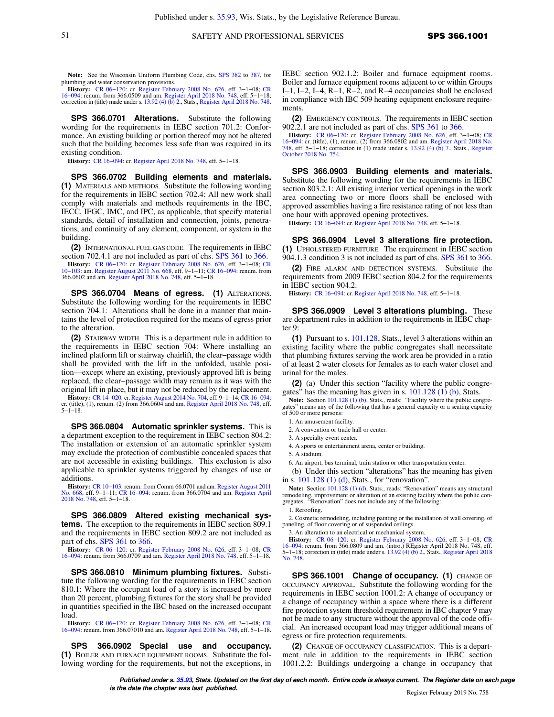**Note:** See the Wisconsin Uniform Plumbing Code, chs. [SPS 382](https://docs-preview.legis.wisconsin.gov/document/administrativecode/ch.%20SPS%20382) to [387](https://docs-preview.legis.wisconsin.gov/document/administrativecode/ch.%20SPS%20387), for plumbing and water conservation provisions.

**History:** CR 06–120: cr. [Register February 2008 No. 626,](https://docs-preview.legis.wisconsin.gov/document/register/626/B/toc) eff. 3–1–08; [CR](https://docs-preview.legis.wisconsin.gov/document/cr/2016/94) 16–094: renum. from 366.0509 and am. [Register April 2018 No. 748](https://docs-preview.legis.wisconsin.gov/document/register/748/B/toc), eff. 5–1–18; correction in (title) made under s. [13.92 \(4\) \(b\) 2.,](https://docs-preview.legis.wisconsin.gov/document/statutes/13.92(4)(b)2.) Stats., [Register April 2018 No. 748](https://docs-preview.legis.wisconsin.gov/document/register/748/B/toc).

**SPS 366.0701 Alterations.** Substitute the following wording for the requirements in IEBC section 701.2: Conformance. An existing building or portion thereof may not be altered such that the building becomes less safe than was required in its existing condition.

**History:** [CR 16−094](https://docs-preview.legis.wisconsin.gov/document/cr/2016/94): cr. [Register April 2018 No. 748,](https://docs-preview.legis.wisconsin.gov/document/register/748/B/toc) eff. 5−1−18.

**SPS 366.0702 Building elements and materials. (1)** MATERIALS AND METHODS. Substitute the following wording for the requirements in IEBC section 702.4: All new work shall comply with materials and methods requirements in the IBC, IECC, IFGC, IMC, and IPC, as applicable, that specify material standards, detail of installation and connection, joints, penetrations, and continuity of any element, component, or system in the building.

**(2)** INTERNATIONAL FUEL GAS CODE. The requirements in IEBC section 702.4.1 are not included as part of chs. [SPS 361](https://docs-preview.legis.wisconsin.gov/document/administrativecode/ch.%20SPS%20361) to [366](https://docs-preview.legis.wisconsin.gov/document/administrativecode/ch.%20SPS%20366).

**History:** CR 06–120: cr. [Register February 2008 No. 626,](https://docs-preview.legis.wisconsin.gov/document/register/626/B/toc) eff. 3–1–08; [CR](https://docs-preview.legis.wisconsin.gov/document/cr/2010/103) 10–103: am. [Register August 2011 No. 668,](https://docs-preview.legis.wisconsin.gov/document/register/668/B/toc) eff. 9–1–11; CR 16–094: renum. from 366.0602 and am. [Register April 2018 No. 748,](https://docs-preview.legis.wisconsin.gov/document/register/748/B/toc) eff. 5–1–18.

**SPS 366.0704 Means of egress. (1)** ALTERATIONS. Substitute the following wording for the requirements in IEBC section 704.1: Alterations shall be done in a manner that maintains the level of protection required for the means of egress prior to the alteration.

**(2)** STAIRWAY WIDTH. This is a department rule in addition to the requirements in IEBC section 704: Where installing an inclined platform lift or stairway chairlift, the clear−passage width shall be provided with the lift in the unfolded, usable position—except where an existing, previously approved lift is being replaced, the clear−passage width may remain as it was with the original lift in place, but it may not be reduced by the replacement.

**History:** CR 14–020: cr. [Register August 2014 No. 704,](https://docs-preview.legis.wisconsin.gov/document/register/704/B/toc) eff. 9–1–14; CR 16–094: cr. (title), (1), renum. (2) from 366.0604 and am. [Register April 2018 No. 748,](https://docs-preview.legis.wisconsin.gov/document/register/748/B/toc) eff. 5−1−18.

**SPS 366.0804 Automatic sprinkler systems.** This is a department exception to the requirement in IEBC section 804.2: The installation or extension of an automatic sprinkler system may exclude the protection of combustible concealed spaces that are not accessible in existing buildings. This exclusion is also applicable to sprinkler systems triggered by changes of use or additions.

**History:** CR 10–103: renum. from Comm 66.0701 and am. [Register August 2011](https://docs-preview.legis.wisconsin.gov/document/register/668/B/toc)<br>[No. 668,](https://docs-preview.legis.wisconsin.gov/document/register/668/B/toc) eff. 9–1–11; CR 16–094: renum. from 366.0704 and am. [Register April](https://docs-preview.legis.wisconsin.gov/document/register/748/B/toc)<br>[2018 No. 748](https://docs-preview.legis.wisconsin.gov/document/register/748/B/toc), eff. 5–1–18.

**SPS 366.0809 Altered existing mechanical systems.** The exception to the requirements in IEBC section 809.1 and the requirements in IEBC section 809.2 are not included as part of chs. [SPS 361](https://docs-preview.legis.wisconsin.gov/document/administrativecode/ch.%20SPS%20361) to [366.](https://docs-preview.legis.wisconsin.gov/document/administrativecode/ch.%20SPS%20366)

**History:** [CR 06−120:](https://docs-preview.legis.wisconsin.gov/document/cr/2006/120) cr. [Register February 2008 No. 626,](https://docs-preview.legis.wisconsin.gov/document/register/626/B/toc) eff. 3−1−08; [CR](https://docs-preview.legis.wisconsin.gov/document/cr/2016/94) [16−094:](https://docs-preview.legis.wisconsin.gov/document/cr/2016/94) renum. from 366.0709 and am. [Register April 2018 No. 748](https://docs-preview.legis.wisconsin.gov/document/register/748/B/toc), eff. 5−1−18.

**SPS 366.0810 Minimum plumbing fixtures.** Substitute the following wording for the requirements in IEBC section 810.1: Where the occupant load of a story is increased by more than 20 percent, plumbing fixtures for the story shall be provided in quantities specified in the IBC based on the increased occupant load.

**History:** [CR 06−120:](https://docs-preview.legis.wisconsin.gov/document/cr/2006/120) cr. [Register February 2008 No. 626,](https://docs-preview.legis.wisconsin.gov/document/register/626/B/toc) eff. 3−1−08; [CR](https://docs-preview.legis.wisconsin.gov/document/cr/2016/94) [16−094:](https://docs-preview.legis.wisconsin.gov/document/cr/2016/94) renum. from 366.07010 and am. [Register April 2018 No. 748,](https://docs-preview.legis.wisconsin.gov/document/register/748/B/toc) eff. 5−1−18.

**SPS 366.0902 Special use and occupancy. (1)** BOILER AND FURNACE EQUIPMENT ROOMS. Substitute the following wording for the requirements, but not the exceptions, in IEBC section 902.1.2: Boiler and furnace equipment rooms. Boiler and furnace equipment rooms adjacent to or within Groups I−1, I−2, I−4, R−1, R−2, and R−4 occupancies shall be enclosed in compliance with IBC 509 heating equipment enclosure requirements.

**(2)** EMERGENCY CONTROLS. The requirements in IEBC section 902.2.1 are not included as part of chs. [SPS 361](https://docs-preview.legis.wisconsin.gov/document/administrativecode/ch.%20SPS%20361) to [366.](https://docs-preview.legis.wisconsin.gov/document/administrativecode/ch.%20SPS%20366)

**History:** CR 06–120: cr. [Register February 2008 No. 626](https://docs-preview.legis.wisconsin.gov/document/register/626/B/toc), eff. 3–1–08: [CR](https://docs-preview.legis.wisconsin.gov/document/cr/2016/94) 06–094: cr. (title), (1), renum. (2) from 366.0802 and am. [Register April 2018 No.](https://docs-preview.legis.wisconsin.gov/document/register/748/B/toc) [748,](https://docs-preview.legis.wisconsin.gov/document/register/748/B/toc) eff. 3–1–18; correction in (1) made under s. 13.92 (4) (b) 7 [October 2018 No. 754.](https://docs-preview.legis.wisconsin.gov/document/register/754/B/toc)

**SPS 366.0903 Building elements and materials.** Substitute the following wording for the requirements in IEBC section 803.2.1: All existing interior vertical openings in the work area connecting two or more floors shall be enclosed with approved assemblies having a fire resistance rating of not less than one hour with approved opening protectives.

**History:** [CR 16−094:](https://docs-preview.legis.wisconsin.gov/document/cr/2016/94) cr. [Register April 2018 No. 748](https://docs-preview.legis.wisconsin.gov/document/register/748/B/toc), eff. 5−1−18.

**SPS 366.0904 Level 3 alterations fire protection. (1)** UPHOLSTERED FURNITURE. The requirement in IEBC section 904.1.3 condition 3 is not included as part of chs. [SPS 361](https://docs-preview.legis.wisconsin.gov/document/administrativecode/ch.%20SPS%20361) to [366.](https://docs-preview.legis.wisconsin.gov/document/administrativecode/ch.%20SPS%20366)

**(2)** FIRE ALARM AND DETECTION SYSTEMS. Substitute the requirements from 2009 IEBC section 804.2 for the requirements in IEBC section 904.2.

**History:** [CR 16−094:](https://docs-preview.legis.wisconsin.gov/document/cr/2016/94) cr. [Register April 2018 No. 748](https://docs-preview.legis.wisconsin.gov/document/register/748/B/toc), eff. 5−1−18.

**SPS 366.0909 Level 3 alterations plumbing.** These are department rules in addition to the requirements in IEBC chapter 9:

**(1)** Pursuant to s. [101.128,](https://docs-preview.legis.wisconsin.gov/document/statutes/101.128) Stats., level 3 alterations within an existing facility where the public congregates shall necessitate that plumbing fixtures serving the work area be provided in a ratio of at least 2 water closets for females as to each water closet and urinal for the males.

**(2)** (a) Under this section "facility where the public congregates" has the meaning has given in s.  $101.128$  (1) (b), Stats.

**Note:** Section [101.128 \(1\) \(b\),](https://docs-preview.legis.wisconsin.gov/document/statutes/101.128(1)(b)) Stats., reads: "Facility where the public congregates" means any of the following that has a general capacity or a seating capacity of 500 or more persons:

1. An amusement facility.

2. A convention or trade hall or center.

3. A specialty event center.

4. A sports or entertainment arena, center or building.

5. A stadium.

6. An airport, bus terminal, train station or other transportation center.

(b) Under this section "alterations" has the meaning has given in s. [101.128 \(1\) \(d\),](https://docs-preview.legis.wisconsin.gov/document/statutes/101.128(1)(d)) Stats., for "renovation".

**Note:** Section [101.128 \(1\) \(d\),](https://docs-preview.legis.wisconsin.gov/document/statutes/101.128(1)(d)) Stats., reads: "Renovation" means any structural remodeling, improvement or alteration of an existing facility where the public congregates. "Renovation" does not include any of the following:

1. Reroofing.

2. Cosmetic remodeling, including painting or the installation of wall covering, of paneling, of floor covering or of suspended ceilings.

3. An alteration to an electrical or mechanical system.

**History:** CR 06–120: cr. [Register February 2008 No. 626](https://docs-preview.legis.wisconsin.gov/document/register/626/B/toc), eff. 3–1–08; [CR](https://docs-preview.legis.wisconsin.gov/document/cr/2016/94) 06–094: renum. from 366.0809 and am. (intro.) REgister April 2018 No. 748, eff. 5–1–18; correction in (title) made under s. [13.92 \(4\) \(b\) 2.,](https://docs-preview.legis.wisconsin.gov/document/statutes/13.92(4)(b)2.) Stats. [No. 748.](https://docs-preview.legis.wisconsin.gov/document/register/748/B/toc)

**SPS 366.1001 Change of occupancy. (1)** CHANGE OF OCCUPANCY APPROVAL. Substitute the following wording for the requirements in IEBC section 1001.2: A change of occupancy or a change of occupancy within a space where there is a different fire protection system threshold requirement in IBC chapter 9 may not be made to any structure without the approval of the code official. An increased occupant load may trigger additional means of egress or fire protection requirements.

**(2)** CHANGE OF OCCUPANCY CLASSIFICATION. This is a department rule in addition to the requirements in IEBC section 1001.2.2: Buildings undergoing a change in occupancy that

**Published under s. [35.93](https://docs-preview.legis.wisconsin.gov/document/statutes/35.93), Stats. Updated on the first day of each month. Entire code is always current. The Register date on each page is the date the chapter was last published. is the date the chapter was last published.** Register February 2019 No. 758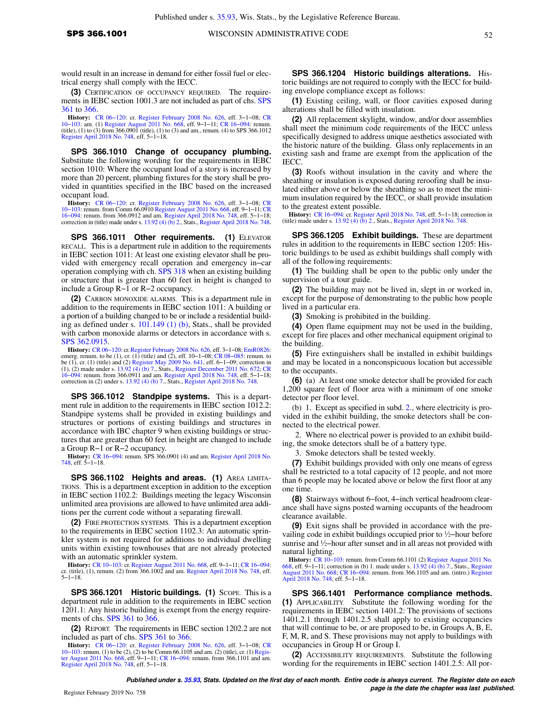would result in an increase in demand for either fossil fuel or electrical energy shall comply with the IECC.

**(3)** CERTIFICATION OF OCCUPANCY REQUIRED. The requirements in IEBC section 1001.3 are not included as part of chs. [SPS](https://docs-preview.legis.wisconsin.gov/document/administrativecode/ch.%20SPS%20361) [361](https://docs-preview.legis.wisconsin.gov/document/administrativecode/ch.%20SPS%20361) to [366.](https://docs-preview.legis.wisconsin.gov/document/administrativecode/ch.%20SPS%20366)

**History:** CR 06–120: cr. [Register February 2008 No. 626,](https://docs-preview.legis.wisconsin.gov/document/register/626/B/toc) eff. 3–1–08; [CR](https://docs-preview.legis.wisconsin.gov/document/cr/2010/103) (tile), am. (1) [Register August 2011 No. 668,](https://docs-preview.legis.wisconsin.gov/document/register/668/B/toc) eff. 9–1–11; CR 16–094: renum. (tile), (1) to (3) from 366.0901 (title), (1) to (3) and am., renum. (4

**SPS 366.1010 Change of occupancy plumbing.** Substitute the following wording for the requirements in IEBC section 1010: Where the occupant load of a story is increased by more than 20 percent, plumbing fixtures for the story shall be provided in quantities specified in the IBC based on the increased occupant load.

**History:** [CR 06−120:](https://docs-preview.legis.wisconsin.gov/document/cr/2006/120) cr. [Register February 2008 No. 626,](https://docs-preview.legis.wisconsin.gov/document/register/626/B/toc) eff. 3−1−08; [CR](https://docs-preview.legis.wisconsin.gov/document/cr/2010/103) 10–103: renum. from Comm 66.0910 [Register August 2011 No. 668,](https://docs-preview.legis.wisconsin.gov/document/register/668/B/toc) eff. 9–1–11; [CR](https://docs-preview.legis.wisconsin.gov/document/cr/2016/94)<br>16–094: renum. from 366.0912 and am. [Register April 2018 No. 748](https://docs-preview.legis.wisconsin.gov/document/register/748/B/toc), eff. 5–1–18;<br>correction in (title) made under s. [13.92 \(4\) \(b\) 2.,](https://docs-preview.legis.wisconsin.gov/document/statutes/13.92(4)(b)2.) Stats., Re

SPS 366.1011 Other requirements. (1) ELEVATOR RECALL. This is a department rule in addition to the requirements in IEBC section 1011: At least one existing elevator shall be provided with emergency recall operation and emergency in−car operation complying with ch. [SPS 318](https://docs-preview.legis.wisconsin.gov/document/administrativecode/ch.%20SPS%20318) when an existing building or structure that is greater than 60 feet in height is changed to include a Group R−1 or R−2 occupancy.

**(2)** CARBON MONOXIDE ALARMS. This is a department rule in addition to the requirements in IEBC section 1011: A building or a portion of a building changed to be or include a residential building as defined under s. [101.149 \(1\) \(b\)](https://docs-preview.legis.wisconsin.gov/document/statutes/101.149(1)(b)), Stats., shall be provided with carbon monoxide alarms or detectors in accordance with s. [SPS 362.0915.](https://docs-preview.legis.wisconsin.gov/document/administrativecode/SPS%20362.0915)

**History:** CR 06–120: cr. [Register February 2008 No. 626](https://docs-preview.legis.wisconsin.gov/document/register/626/B/toc), eff. 3–1–08; [EmR0826:](https://docs-preview.legis.wisconsin.gov/document/emergencyrules/EmR0826) emerg. renum. to be (1), cr. (1) (title) and (2), eff. 10–1–08; CR 08–085: renum. to (1), cr. (1) (title) and (2) [Register May 2009 No. 641,](https://docs-preview.legis.wisconsin.gov/document/register/641/B/toc) correction in (2) under s. [13.92 \(4\) \(b\) 7.,](https://docs-preview.legis.wisconsin.gov/document/statutes/13.92(4)(b)7.) Stats., [Register April 2018 No. 748](https://docs-preview.legis.wisconsin.gov/document/register/748/B/toc).

**SPS 366.1012 Standpipe systems.** This is a department rule in addition to the requirements in IEBC section 1012.2: Standpipe systems shall be provided in existing buildings and structures or portions of existing buildings and structures in accordance with IBC chapter 9 when existing buildings or structures that are greater than 60 feet in height are changed to include a Group R−1 or R−2 occupancy.

**History:** [CR 16−094:](https://docs-preview.legis.wisconsin.gov/document/cr/2016/94) renum. SPS 366.0901 (4) and am. [Register April 2018 No.](https://docs-preview.legis.wisconsin.gov/document/register/748/B/toc) [748](https://docs-preview.legis.wisconsin.gov/document/register/748/B/toc), eff. 5−1−18.

**SPS 366.1102 Heights and areas. (1)** AREA LIMITA-TIONS. This is a department exception in addition to the exception in IEBC section 1102.2: Buildings meeting the legacy Wisconsin unlimited area provisions are allowed to have unlimited area additions per the current code without a separating firewall.

**(2)** FIRE PROTECTION SYSTEMS. This is a department exception to the requirements in IEBC section 1102.3: An automatic sprinkler system is not required for additions to individual dwelling units within existing townhouses that are not already protected with an automatic sprinkler system.

**History:** CR 10–103: cr. [Register August 2011 No. 668,](https://docs-preview.legis.wisconsin.gov/document/register/668/B/toc) eff. 9–1–11; CR 16–094: cr. (title), (1), renum. (2) from 366.1002 and am. [Register April 2018 No. 748,](https://docs-preview.legis.wisconsin.gov/document/register/748/B/toc) eff. 5−1−18.

**SPS 366.1201 Historic buildings. (1)** SCOPE. This is a department rule in addition to the requirements in IEBC section 1201.1: Any historic building is exempt from the energy requirements of chs. [SPS 361](https://docs-preview.legis.wisconsin.gov/document/administrativecode/ch.%20SPS%20361) to [366](https://docs-preview.legis.wisconsin.gov/document/administrativecode/ch.%20SPS%20366).

**(2)** REPORT. The requirements in IEBC section 1202.2 are not included as part of chs. [SPS 361](https://docs-preview.legis.wisconsin.gov/document/administrativecode/ch.%20SPS%20361) to [366.](https://docs-preview.legis.wisconsin.gov/document/administrativecode/ch.%20SPS%20366)

**History:** CR 06–120: cr. [Register February 2008 No. 626,](https://docs-preview.legis.wisconsin.gov/document/register/626/B/toc) eff. 3–1–08; [CR](https://docs-preview.legis.wisconsin.gov/document/cr/2010/103) 06–103: renum. (1) to be (2), (2) to be Comm 66.1105 and am. (2) (title), cr. (1) Regis-<br>10–103: renum (1) to be (2), (2) to be Comm 66.1105 and am. [Register April 2018 No. 748,](https://docs-preview.legis.wisconsin.gov/document/register/748/B/toc) eff. 5−1−18.

**SPS 366.1204 Historic buildings alterations.** Historic buildings are not required to comply with the IECC for building envelope compliance except as follows:

**(1)** Existing ceiling, wall, or floor cavities exposed during alterations shall be filled with insulation.

**(2)** All replacement skylight, window, and/or door assemblies shall meet the minimum code requirements of the IECC unless specifically designed to address unique aesthetics associated with the historic nature of the building. Glass only replacements in an existing sash and frame are exempt from the application of the IECC.

**(3)** Roofs without insulation in the cavity and where the sheathing or insulation is exposed during reroofing shall be insulated either above or below the sheathing so as to meet the minimum insulation required by the IECC, or shall provide insulation to the greatest extent possible.

**History:** [CR 16−094](https://docs-preview.legis.wisconsin.gov/document/cr/2016/94): cr. [Register April 2018 No. 748](https://docs-preview.legis.wisconsin.gov/document/register/748/B/toc), eff. 5−1−18; correction in (title) made under s. [13.92 \(4\) \(b\) 2.,](https://docs-preview.legis.wisconsin.gov/document/statutes/13.92(4)(b)2.) Stats., [Register April 2018 No. 748](https://docs-preview.legis.wisconsin.gov/document/register/748/B/toc).

**SPS 366.1205 Exhibit buildings.** These are department rules in addition to the requirements in IEBC section 1205: Historic buildings to be used as exhibit buildings shall comply with all of the following requirements:

**(1)** The building shall be open to the public only under the supervision of a tour guide.

**(2)** The building may not be lived in, slept in or worked in, except for the purpose of demonstrating to the public how people lived in a particular era.

**(3)** Smoking is prohibited in the building.

**(4)** Open flame equipment may not be used in the building, except for fire places and other mechanical equipment original to the building.

**(5)** Fire extinguishers shall be installed in exhibit buildings and may be located in a nonconspicuous location but accessible to the occupants.

**(6)** (a) At least one smoke detector shall be provided for each 1,200 square feet of floor area with a minimum of one smoke detector per floor level.

(b) 1. Except as specified in subd. [2.](https://docs-preview.legis.wisconsin.gov/document/administrativecode/SPS%20366.1205(6)(b)2.), where electricity is provided in the exhibit building, the smoke detectors shall be connected to the electrical power.

2. Where no electrical power is provided to an exhibit building, the smoke detectors shall be of a battery type.

3. Smoke detectors shall be tested weekly.

**(7)** Exhibit buildings provided with only one means of egress shall be restricted to a total capacity of 12 people, and not more than 6 people may be located above or below the first floor at any one time.

**(8)** Stairways without 6−foot, 4−inch vertical headroom clearance shall have signs posted warning occupants of the headroom clearance available.

**(9)** Exit signs shall be provided in accordance with the prevailing code in exhibit buildings occupied prior to ½−hour before sunrise and ½–hour after sunset and in all areas not provided with natural lighting.

**History:** CR 10–103: renum. from Comm 66.1101 (2) [Register August 2011 No.](https://docs-preview.legis.wisconsin.gov/document/register/668/B/toc)<br>[668,](https://docs-preview.legis.wisconsin.gov/document/register/668/B/toc) eff. 9–1–11; correction in (b) 1. made under s. [13.92 \(4\) \(b\) 7.,](https://docs-preview.legis.wisconsin.gov/document/statutes/13.92(4)(b)7.) Stats., [Register](https://docs-preview.legis.wisconsin.gov/document/register/748/B/toc)<br>[August 2011 No. 668](https://docs-preview.legis.wisconsin.gov/document/register/668/B/toc); CR 16–094: renum. from 366.1105 and a [April 2018 No. 748](https://docs-preview.legis.wisconsin.gov/document/register/748/B/toc), eff. 5−1−18.

**SPS 366.1401 Performance compliance methods. (1)** APPLICABILITY. Substitute the following wording for the requirements in IEBC section 1401.2: The provisions of sections 1401.2.1 through 1401.2.5 shall apply to existing occupancies that will continue to be, or are proposed to be, in Groups A, B, E, F, M, R, and S. These provisions may not apply to buildings with occupancies in Group H or Group I.

**(2)** ACCESSIBILITY REQUIREMENTS. Substitute the following wording for the requirements in IEBC section 1401.2.5: All por-

**Published under s. [35.93,](https://docs-preview.legis.wisconsin.gov/document/statutes/35.93) Stats. Updated on the first day of each month. Entire code is always current. The Register date on each Page is the date the chapter was last published. page is the date the chapter was last published.**